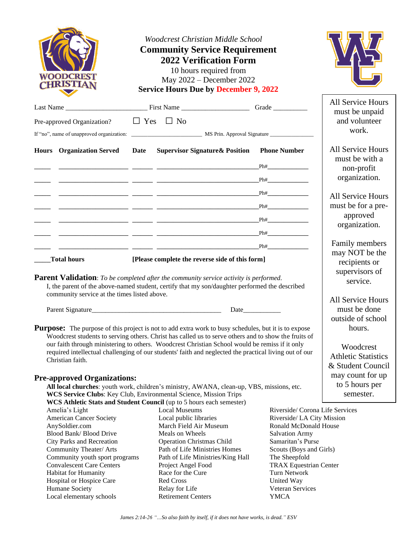| <b>WOODCREST</b><br><b>CHRISTIAN</b>                                                                   | <b>Woodcrest Christian Middle School</b><br><b>Community Service Requirement</b><br><b>2022 Verification Form</b><br>10 hours required from<br>May 2022 - December 2022<br><b>Service Hours Due by December 9, 2022</b> |                                            |                                     |
|--------------------------------------------------------------------------------------------------------|-------------------------------------------------------------------------------------------------------------------------------------------------------------------------------------------------------------------------|--------------------------------------------|-------------------------------------|
|                                                                                                        |                                                                                                                                                                                                                         |                                            | <b>All Service Hours</b>            |
| Pre-approved Organization?                                                                             | $\Box$ Yes $\Box$ No                                                                                                                                                                                                    |                                            | must be unpaid<br>and volunteer     |
|                                                                                                        |                                                                                                                                                                                                                         |                                            | work.                               |
|                                                                                                        |                                                                                                                                                                                                                         |                                            |                                     |
| <b>Hours</b> Organization Served                                                                       | <b>Supervisor Signature &amp; Position</b><br>Date                                                                                                                                                                      | <b>Phone Number</b>                        | All Service Hours<br>must be with a |
|                                                                                                        |                                                                                                                                                                                                                         | Ph#                                        | non-profit                          |
|                                                                                                        |                                                                                                                                                                                                                         | Ph#                                        | organization.                       |
|                                                                                                        |                                                                                                                                                                                                                         |                                            |                                     |
|                                                                                                        |                                                                                                                                                                                                                         |                                            | <b>All Service Hours</b>            |
|                                                                                                        |                                                                                                                                                                                                                         |                                            | must be for a pre-<br>approved      |
|                                                                                                        |                                                                                                                                                                                                                         |                                            | organization.                       |
|                                                                                                        |                                                                                                                                                                                                                         | Ph#                                        |                                     |
|                                                                                                        |                                                                                                                                                                                                                         | Ph#                                        | Family members                      |
| <b>Total hours</b>                                                                                     | [Please complete the reverse side of this form]                                                                                                                                                                         |                                            | may NOT be the<br>recipients or     |
| community service at the times listed above.                                                           | <b>Parent Validation</b> : To be completed after the community service activity is performed.<br>I, the parent of the above-named student, certify that my son/daughter performed the described                         |                                            | supervisors of<br>service.          |
|                                                                                                        |                                                                                                                                                                                                                         |                                            | All Service Hours                   |
|                                                                                                        |                                                                                                                                                                                                                         |                                            | must be done                        |
|                                                                                                        |                                                                                                                                                                                                                         |                                            | outside of school                   |
|                                                                                                        | <b>Purpose:</b> The purpose of this project is not to add extra work to busy schedules, but it is to expose<br>Woodcrest students to serving others. Christ has called us to serve others and to show the fruits of     |                                            | hours.                              |
| our faith through ministering to others. Woodcrest Christian School would be remiss if it only         |                                                                                                                                                                                                                         |                                            | Woodcrest                           |
| required intellectual challenging of our students' faith and neglected the practical living out of our |                                                                                                                                                                                                                         |                                            | <b>Athletic Statistics</b>          |
| Christian faith.                                                                                       |                                                                                                                                                                                                                         | & Student Council                          |                                     |
| <b>Pre-approved Organizations:</b>                                                                     |                                                                                                                                                                                                                         |                                            | may count for up                    |
|                                                                                                        | All local churches: youth work, children's ministry, AWANA, clean-up, VBS, missions, etc.                                                                                                                               |                                            | to 5 hours per                      |
|                                                                                                        | WCS Service Clubs: Key Club, Environmental Science, Mission Trips                                                                                                                                                       |                                            | semester.                           |
| Amelia's Light                                                                                         | WCS Athletic Stats and Student Council (up to 5 hours each semester)<br><b>Local Museums</b>                                                                                                                            | Riverside/ Corona Life Services            |                                     |
| <b>American Cancer Society</b>                                                                         | Local public libraries                                                                                                                                                                                                  | Riverside/ LA City Mission                 |                                     |
| AnySoldier.com                                                                                         | March Field Air Museum                                                                                                                                                                                                  | Ronald McDonald House                      |                                     |
| Blood Bank/ Blood Drive<br>City Parks and Recreation                                                   | Meals on Wheels<br><b>Operation Christmas Child</b>                                                                                                                                                                     | <b>Salvation Army</b><br>Samaritan's Purse |                                     |
| Community Theater/ Arts                                                                                | Path of Life Ministries Homes                                                                                                                                                                                           | Scouts (Boys and Girls)                    |                                     |
| Community youth sport programs                                                                         | Path of Life Ministries/King Hall                                                                                                                                                                                       | The Sheepfold                              |                                     |
| <b>Convalescent Care Centers</b>                                                                       | Project Angel Food                                                                                                                                                                                                      | <b>TRAX Equestrian Center</b>              |                                     |
| <b>Habitat for Humanity</b>                                                                            | Race for the Cure                                                                                                                                                                                                       | Turn Network                               |                                     |
| Hospital or Hospice Care<br>Humane Society                                                             | <b>Red Cross</b><br>Relay for Life                                                                                                                                                                                      | United Way<br>Veteran Services             |                                     |
| Local elementary schools                                                                               | <b>Retirement Centers</b>                                                                                                                                                                                               | <b>YMCA</b>                                |                                     |